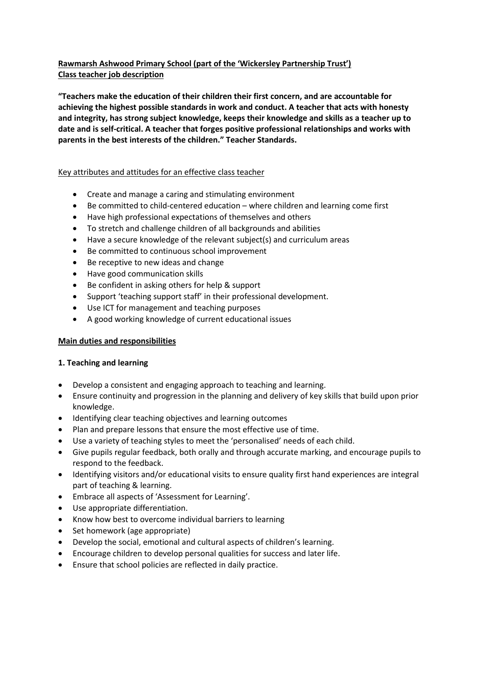# **Rawmarsh Ashwood Primary School (part of the 'Wickersley Partnership Trust') Class teacher job description**

**"Teachers make the education of their children their first concern, and are accountable for achieving the highest possible standards in work and conduct. A teacher that acts with honesty and integrity, has strong subject knowledge, keeps their knowledge and skills as a teacher up to date and is self-critical. A teacher that forges positive professional relationships and works with parents in the best interests of the children." Teacher Standards.**

### Key attributes and attitudes for an effective class teacher

- Create and manage a caring and stimulating environment
- Be committed to child-centered education where children and learning come first
- Have high professional expectations of themselves and others
- To stretch and challenge children of all backgrounds and abilities
- Have a secure knowledge of the relevant subject(s) and curriculum areas
- Be committed to continuous school improvement
- Be receptive to new ideas and change
- Have good communication skills
- Be confident in asking others for help & support
- Support 'teaching support staff' in their professional development.
- Use ICT for management and teaching purposes
- A good working knowledge of current educational issues

# **Main duties and responsibilities**

# **1. Teaching and learning**

- Develop a consistent and engaging approach to teaching and learning.
- Ensure continuity and progression in the planning and delivery of key skills that build upon prior knowledge.
- Identifying clear teaching objectives and learning outcomes
- Plan and prepare lessons that ensure the most effective use of time.
- Use a variety of teaching styles to meet the 'personalised' needs of each child.
- Give pupils regular feedback, both orally and through accurate marking, and encourage pupils to respond to the feedback.
- Identifying visitors and/or educational visits to ensure quality first hand experiences are integral part of teaching & learning.
- Embrace all aspects of 'Assessment for Learning'.
- Use appropriate differentiation.
- Know how best to overcome individual barriers to learning
- Set homework (age appropriate)
- Develop the social, emotional and cultural aspects of children's learning.
- Encourage children to develop personal qualities for success and later life.
- Ensure that school policies are reflected in daily practice.